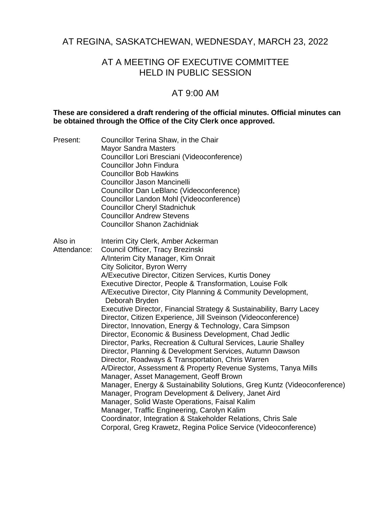# AT REGINA, SASKATCHEWAN, WEDNESDAY, MARCH 23, 2022

# AT A MEETING OF EXECUTIVE COMMITTEE HELD IN PUBLIC SESSION

# AT 9:00 AM

#### **These are considered a draft rendering of the official minutes. Official minutes can be obtained through the Office of the City Clerk once approved.**

Present: Councillor Terina Shaw, in the Chair Mayor Sandra Masters Councillor Lori Bresciani (Videoconference) Councillor John Findura Councillor Bob Hawkins Councillor Jason Mancinelli Councillor Dan LeBlanc (Videoconference) Councillor Landon Mohl (Videoconference) Councillor Cheryl Stadnichuk Councillor Andrew Stevens Councillor Shanon Zachidniak Also in Attendance: Interim City Clerk, Amber Ackerman Council Officer, Tracy Brezinski

A/Interim City Manager, Kim Onrait City Solicitor, Byron Werry A/Executive Director, Citizen Services, Kurtis Doney Executive Director, People & Transformation, Louise Folk A/Executive Director, City Planning & Community Development, Deborah Bryden Executive Director, Financial Strategy & Sustainability, Barry Lacey Director, Citizen Experience, Jill Sveinson (Videoconference) Director, Innovation, Energy & Technology, Cara Simpson Director, Economic & Business Development, Chad Jedlic Director, Parks, Recreation & Cultural Services, Laurie Shalley Director, Planning & Development Services, Autumn Dawson Director, Roadways & Transportation, Chris Warren A/Director, Assessment & Property Revenue Systems, Tanya Mills Manager, Asset Management, Geoff Brown Manager, Energy & Sustainability Solutions, Greg Kuntz (Videoconference) Manager, Program Development & Delivery, Janet Aird Manager, Solid Waste Operations, Faisal Kalim Manager, Traffic Engineering, Carolyn Kalim Coordinator, Integration & Stakeholder Relations, Chris Sale Corporal, Greg Krawetz, Regina Police Service (Videoconference)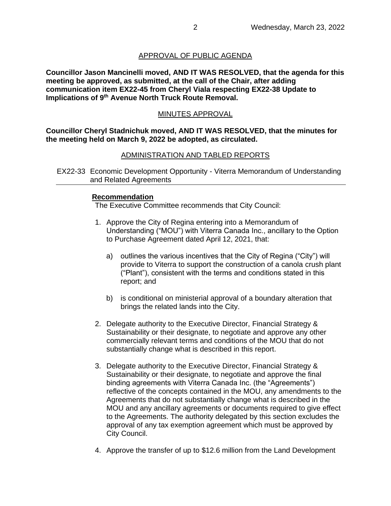## APPROVAL OF PUBLIC AGENDA

**Councillor Jason Mancinelli moved, AND IT WAS RESOLVED, that the agenda for this meeting be approved, as submitted, at the call of the Chair, after adding communication item EX22-45 from Cheryl Viala respecting EX22-38 Update to Implications of 9th Avenue North Truck Route Removal.**

### MINUTES APPROVAL

**Councillor Cheryl Stadnichuk moved, AND IT WAS RESOLVED, that the minutes for the meeting held on March 9, 2022 be adopted, as circulated.**

### ADMINISTRATION AND TABLED REPORTS

EX22-33 Economic Development Opportunity - Viterra Memorandum of Understanding and Related Agreements

#### **Recommendation**

The Executive Committee recommends that City Council:

- 1. Approve the City of Regina entering into a Memorandum of Understanding ("MOU") with Viterra Canada Inc., ancillary to the Option to Purchase Agreement dated April 12, 2021, that:
	- a) outlines the various incentives that the City of Regina ("City") will provide to Viterra to support the construction of a canola crush plant ("Plant"), consistent with the terms and conditions stated in this report; and
	- b) is conditional on ministerial approval of a boundary alteration that brings the related lands into the City.
- 2. Delegate authority to the Executive Director, Financial Strategy & Sustainability or their designate, to negotiate and approve any other commercially relevant terms and conditions of the MOU that do not substantially change what is described in this report.
- 3. Delegate authority to the Executive Director, Financial Strategy & Sustainability or their designate, to negotiate and approve the final binding agreements with Viterra Canada Inc. (the "Agreements") reflective of the concepts contained in the MOU, any amendments to the Agreements that do not substantially change what is described in the MOU and any ancillary agreements or documents required to give effect to the Agreements. The authority delegated by this section excludes the approval of any tax exemption agreement which must be approved by City Council.
- 4. Approve the transfer of up to \$12.6 million from the Land Development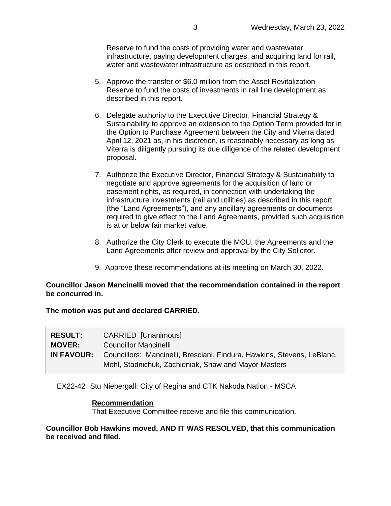Reserve to fund the costs of providing water and wastewater infrastructure, paying development charges, and acquiring land for rail, water and wastewater infrastructure as described in this report.

- 5. Approve the transfer of \$6.0 million from the Asset Revitalization Reserve to fund the costs of investments in rail line development as described in this report.
- 6. Delegate authority to the Executive Director, Financial Strategy & Sustainability to approve an extension to the Option Term provided for in the Option to Purchase Agreement between the City and Viterra dated April 12, 2021 as, in his discretion, is reasonably necessary as long as Viterra is diligently pursuing its due diligence of the related development proposal.
- 7. Authorize the Executive Director, Financial Strategy & Sustainability to negotiate and approve agreements for the acquisition of land or easement rights, as required, in connection with undertaking the infrastructure investments (rail and utilities) as described in this report (the "Land Agreements"), and any ancillary agreements or documents required to give effect to the Land Agreements, provided such acquisition is at or below fair market value.
- 8. Authorize the City Clerk to execute the MOU, the Agreements and the Land Agreements after review and approval by the City Solicitor.
- 9. Approve these recommendations at its meeting on March 30, 2022.

#### **Councillor Jason Mancinelli moved that the recommendation contained in the report be concurred in.**

**The motion was put and declared CARRIED.**

| <b>RESULT:</b> | CARRIED [Unanimous]                                                                                                             |
|----------------|---------------------------------------------------------------------------------------------------------------------------------|
| <b>MOVER:</b>  | <b>Councillor Mancinelli</b>                                                                                                    |
| IN FAVOUR:     | Councillors: Mancinelli, Bresciani, Findura, Hawkins, Stevens, LeBlanc,<br>Mohl, Stadnichuk, Zachidniak, Shaw and Mayor Masters |

#### EX22-42 Stu Niebergall: City of Regina and CTK Nakoda Nation - MSCA

#### **Recommendation**

That Executive Committee receive and file this communication.

#### **Councillor Bob Hawkins moved, AND IT WAS RESOLVED, that this communication be received and filed.**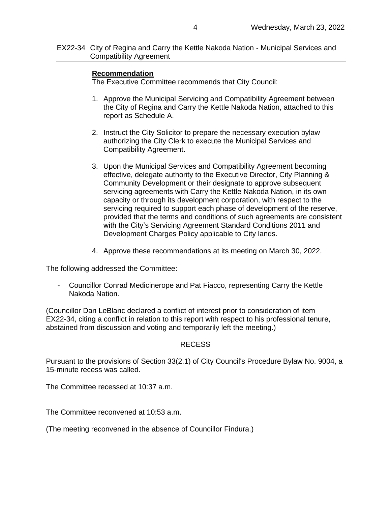EX22-34 City of Regina and Carry the Kettle Nakoda Nation - Municipal Services and Compatibility Agreement

### **Recommendation**

The Executive Committee recommends that City Council:

- 1. Approve the Municipal Servicing and Compatibility Agreement between the City of Regina and Carry the Kettle Nakoda Nation, attached to this report as Schedule A.
- 2. Instruct the City Solicitor to prepare the necessary execution bylaw authorizing the City Clerk to execute the Municipal Services and Compatibility Agreement.
- 3. Upon the Municipal Services and Compatibility Agreement becoming effective, delegate authority to the Executive Director, City Planning & Community Development or their designate to approve subsequent servicing agreements with Carry the Kettle Nakoda Nation, in its own capacity or through its development corporation, with respect to the servicing required to support each phase of development of the reserve, provided that the terms and conditions of such agreements are consistent with the City's Servicing Agreement Standard Conditions 2011 and Development Charges Policy applicable to City lands.
- 4. Approve these recommendations at its meeting on March 30, 2022.

The following addressed the Committee:

- Councillor Conrad Medicinerope and Pat Fiacco, representing Carry the Kettle Nakoda Nation.

(Councillor Dan LeBlanc declared a conflict of interest prior to consideration of item EX22-34, citing a conflict in relation to this report with respect to his professional tenure, abstained from discussion and voting and temporarily left the meeting.)

#### RECESS

Pursuant to the provisions of Section 33(2.1) of City Council's Procedure Bylaw No. 9004, a 15-minute recess was called.

The Committee recessed at 10:37 a.m.

The Committee reconvened at 10:53 a.m.

(The meeting reconvened in the absence of Councillor Findura.)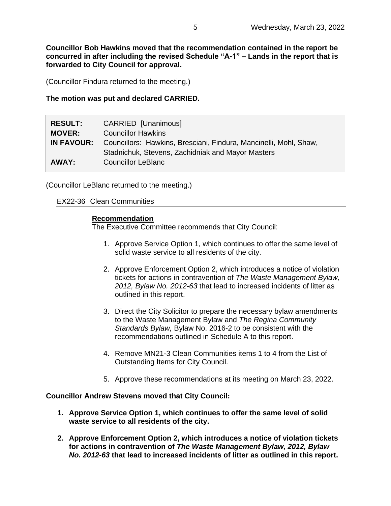**Councillor Bob Hawkins moved that the recommendation contained in the report be concurred in after including the revised Schedule "A-1" – Lands in the report that is forwarded to City Council for approval.**

(Councillor Findura returned to the meeting.)

**The motion was put and declared CARRIED.**

| <b>RESULT:</b>    | CARRIED [Unanimous]                                               |
|-------------------|-------------------------------------------------------------------|
| <b>MOVER:</b>     | <b>Councillor Hawkins</b>                                         |
| <b>IN FAVOUR:</b> | Councillors: Hawkins, Bresciani, Findura, Mancinelli, Mohl, Shaw, |
|                   | Stadnichuk, Stevens, Zachidniak and Mayor Masters                 |
| AWAY:             | <b>Councillor LeBlanc</b>                                         |

(Councillor LeBlanc returned to the meeting.)

EX22-36 Clean Communities

#### **Recommendation**

The Executive Committee recommends that City Council:

- 1. Approve Service Option 1, which continues to offer the same level of solid waste service to all residents of the city.
- 2. Approve Enforcement Option 2, which introduces a notice of violation tickets for actions in contravention of *The Waste Management Bylaw, 2012, Bylaw No. 2012-63* that lead to increased incidents of litter as outlined in this report.
- 3. Direct the City Solicitor to prepare the necessary bylaw amendments to the Waste Management Bylaw and *The Regina Community Standards Bylaw,* Bylaw No. 2016-2 to be consistent with the recommendations outlined in Schedule A to this report.
- 4. Remove MN21-3 Clean Communities items 1 to 4 from the List of Outstanding Items for City Council.
- 5. Approve these recommendations at its meeting on March 23, 2022.

**Councillor Andrew Stevens moved that City Council:**

- **1. Approve Service Option 1, which continues to offer the same level of solid waste service to all residents of the city.**
- **2. Approve Enforcement Option 2, which introduces a notice of violation tickets for actions in contravention of** *The Waste Management Bylaw, 2012, Bylaw No. 2012-63* **that lead to increased incidents of litter as outlined in this report.**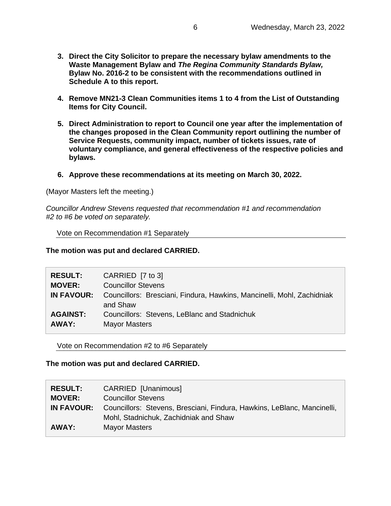- **3. Direct the City Solicitor to prepare the necessary bylaw amendments to the Waste Management Bylaw and** *The Regina Community Standards Bylaw,*  **Bylaw No. 2016-2 to be consistent with the recommendations outlined in Schedule A to this report.**
- **4. Remove MN21-3 Clean Communities items 1 to 4 from the List of Outstanding Items for City Council.**
- **5. Direct Administration to report to Council one year after the implementation of the changes proposed in the Clean Community report outlining the number of Service Requests, community impact, number of tickets issues, rate of voluntary compliance, and general effectiveness of the respective policies and bylaws.**
- **6. Approve these recommendations at its meeting on March 30, 2022.**

(Mayor Masters left the meeting.)

*Councillor Andrew Stevens requested that recommendation #1 and recommendation #2 to #6 be voted on separately.*

Vote on Recommendation #1 Separately

**The motion was put and declared CARRIED.**

| <b>RESULT:</b>    | CARRIED [7 to 3]                                                                   |
|-------------------|------------------------------------------------------------------------------------|
| <b>MOVER:</b>     | <b>Councillor Stevens</b>                                                          |
| <b>IN FAVOUR:</b> | Councillors: Bresciani, Findura, Hawkins, Mancinelli, Mohl, Zachidniak<br>and Shaw |
| <b>AGAINST:</b>   | Councillors: Stevens, LeBlanc and Stadnichuk                                       |
| AWAY:             | <b>Mayor Masters</b>                                                               |

Vote on Recommendation #2 to #6 Separately

**The motion was put and declared CARRIED.**

| <b>RESULT:</b> | CARRIED [Unanimous]                                                                                              |
|----------------|------------------------------------------------------------------------------------------------------------------|
| <b>MOVER:</b>  | <b>Councillor Stevens</b>                                                                                        |
| IN FAVOUR:     | Councillors: Stevens, Bresciani, Findura, Hawkins, LeBlanc, Mancinelli,<br>Mohl, Stadnichuk, Zachidniak and Shaw |
| AWAY:          | <b>Mayor Masters</b>                                                                                             |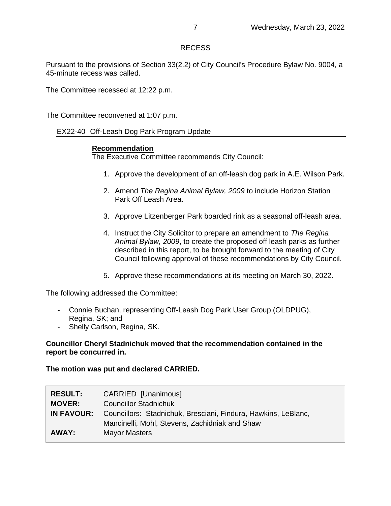## RECESS

Pursuant to the provisions of Section 33(2.2) of City Council's Procedure Bylaw No. 9004, a 45-minute recess was called.

The Committee recessed at 12:22 p.m.

The Committee reconvened at 1:07 p.m.

EX22-40 Off-Leash Dog Park Program Update

#### **Recommendation**

The Executive Committee recommends City Council:

- 1. Approve the development of an off-leash dog park in A.E. Wilson Park.
- 2. Amend *The Regina Animal Bylaw, 2009* to include Horizon Station Park Off Leash Area.
- 3. Approve Litzenberger Park boarded rink as a seasonal off-leash area.
- 4. Instruct the City Solicitor to prepare an amendment to *The Regina Animal Bylaw, 2009*, to create the proposed off leash parks as further described in this report, to be brought forward to the meeting of City Council following approval of these recommendations by City Council.
- 5. Approve these recommendations at its meeting on March 30, 2022.

The following addressed the Committee:

- Connie Buchan, representing Off-Leash Dog Park User Group (OLDPUG), Regina, SK; and
- Shelly Carlson, Regina, SK.

#### **Councillor Cheryl Stadnichuk moved that the recommendation contained in the report be concurred in.**

#### **The motion was put and declared CARRIED.**

| <b>RESULT:</b><br><b>MOVER:</b> | CARRIED [Unanimous]<br><b>Councillor Stadnichuk</b>                                                              |
|---------------------------------|------------------------------------------------------------------------------------------------------------------|
| <b>IN FAVOUR:</b>               | Councillors: Stadnichuk, Bresciani, Findura, Hawkins, LeBlanc,<br>Mancinelli, Mohl, Stevens, Zachidniak and Shaw |
| AWAY:                           | <b>Mayor Masters</b>                                                                                             |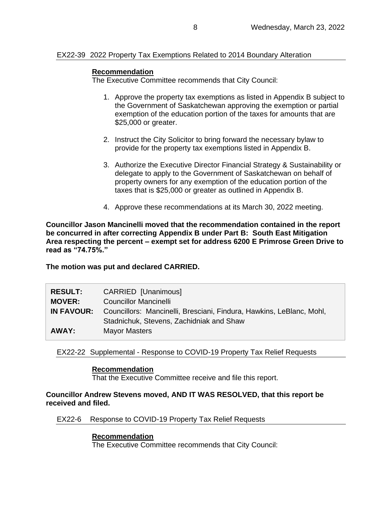### EX22-39 2022 Property Tax Exemptions Related to 2014 Boundary Alteration

### **Recommendation**

The Executive Committee recommends that City Council:

- 1. Approve the property tax exemptions as listed in Appendix B subject to the Government of Saskatchewan approving the exemption or partial exemption of the education portion of the taxes for amounts that are \$25,000 or greater.
- 2. Instruct the City Solicitor to bring forward the necessary bylaw to provide for the property tax exemptions listed in Appendix B.
- 3. Authorize the Executive Director Financial Strategy & Sustainability or delegate to apply to the Government of Saskatchewan on behalf of property owners for any exemption of the education portion of the taxes that is \$25,000 or greater as outlined in Appendix B.
- 4. Approve these recommendations at its March 30, 2022 meeting.

**Councillor Jason Mancinelli moved that the recommendation contained in the report be concurred in after correcting Appendix B under Part B: South East Mitigation Area respecting the percent – exempt set for address 6200 E Primrose Green Drive to read as "74.75%."**

**The motion was put and declared CARRIED.**

| <b>RESULT:</b>    | <b>CARRIED [Unanimous]</b>                                           |
|-------------------|----------------------------------------------------------------------|
| <b>MOVER:</b>     | <b>Councillor Mancinelli</b>                                         |
| <b>IN FAVOUR:</b> | Councillors: Mancinelli, Bresciani, Findura, Hawkins, LeBlanc, Mohl, |
|                   | Stadnichuk, Stevens, Zachidniak and Shaw                             |
| AWAY:             | <b>Mayor Masters</b>                                                 |
|                   |                                                                      |

EX22-22 Supplemental - Response to COVID-19 Property Tax Relief Requests

#### **Recommendation**

That the Executive Committee receive and file this report.

#### **Councillor Andrew Stevens moved, AND IT WAS RESOLVED, that this report be received and filed.**

EX22-6 Response to COVID-19 Property Tax Relief Requests

### **Recommendation**

The Executive Committee recommends that City Council: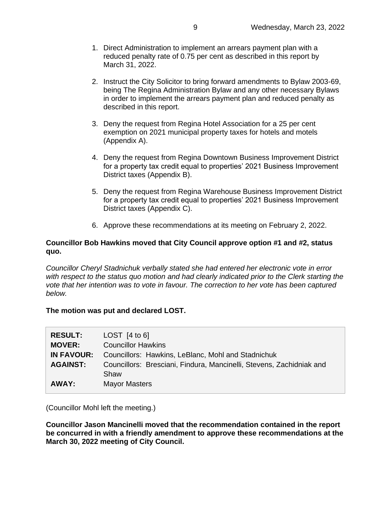- 1. Direct Administration to implement an arrears payment plan with a reduced penalty rate of 0.75 per cent as described in this report by March 31, 2022.
- 2. Instruct the City Solicitor to bring forward amendments to Bylaw 2003-69, being The Regina Administration Bylaw and any other necessary Bylaws in order to implement the arrears payment plan and reduced penalty as described in this report.
- 3. Deny the request from Regina Hotel Association for a 25 per cent exemption on 2021 municipal property taxes for hotels and motels (Appendix A).
- 4. Deny the request from Regina Downtown Business Improvement District for a property tax credit equal to properties' 2021 Business Improvement District taxes (Appendix B).
- 5. Deny the request from Regina Warehouse Business Improvement District for a property tax credit equal to properties' 2021 Business Improvement District taxes (Appendix C).
- 6. Approve these recommendations at its meeting on February 2, 2022.

## **Councillor Bob Hawkins moved that City Council approve option #1 and #2, status quo.**

*Councillor Cheryl Stadnichuk verbally stated she had entered her electronic vote in error with respect to the status quo motion and had clearly indicated prior to the Clerk starting the vote that her intention was to vote in favour. The correction to her vote has been captured below.*

### **The motion was put and declared LOST.**

| <b>RESULT:</b><br><b>MOVER:</b> | LOST $[4 \text{ to } 6]$<br><b>Councillor Hawkins</b>                |
|---------------------------------|----------------------------------------------------------------------|
| <b>IN FAVOUR:</b>               | Councillors: Hawkins, LeBlanc, Mohl and Stadnichuk                   |
| <b>AGAINST:</b>                 | Councillors: Bresciani, Findura, Mancinelli, Stevens, Zachidniak and |
|                                 | Shaw                                                                 |
| AWAY:                           | <b>Mayor Masters</b>                                                 |

(Councillor Mohl left the meeting.)

**Councillor Jason Mancinelli moved that the recommendation contained in the report be concurred in with a friendly amendment to approve these recommendations at the March 30, 2022 meeting of City Council.**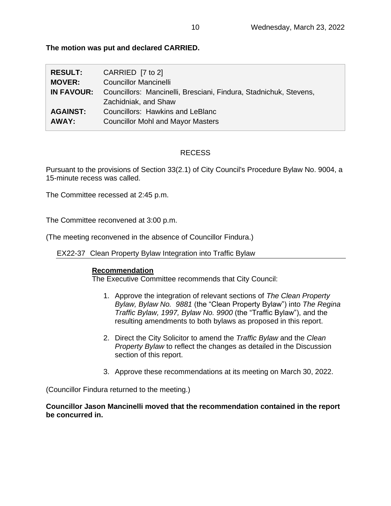**The motion was put and declared CARRIED.**

| <b>RESULT:</b>    | CARRIED $[7 \text{ to } 2]$                                       |
|-------------------|-------------------------------------------------------------------|
| <b>MOVER:</b>     | <b>Councillor Mancinelli</b>                                      |
| <b>IN FAVOUR:</b> | Councillors: Mancinelli, Bresciani, Findura, Stadnichuk, Stevens, |
|                   | Zachidniak, and Shaw                                              |
| <b>AGAINST:</b>   | Councillors: Hawkins and LeBlanc                                  |
| AWAY:             | <b>Councillor Mohl and Mayor Masters</b>                          |

# RECESS

Pursuant to the provisions of Section 33(2.1) of City Council's Procedure Bylaw No. 9004, a 15-minute recess was called.

The Committee recessed at 2:45 p.m.

The Committee reconvened at 3:00 p.m.

(The meeting reconvened in the absence of Councillor Findura.)

EX22-37 Clean Property Bylaw Integration into Traffic Bylaw

# **Recommendation**

The Executive Committee recommends that City Council:

- 1. Approve the integration of relevant sections of *The Clean Property Bylaw, Bylaw No. 9881* (the "Clean Property Bylaw") into *The Regina Traffic Bylaw, 1997, Bylaw No. 9900* (the "Traffic Bylaw"), and the resulting amendments to both bylaws as proposed in this report.
- 2. Direct the City Solicitor to amend the *Traffic Bylaw* and the *Clean Property Bylaw* to reflect the changes as detailed in the Discussion section of this report.
- 3. Approve these recommendations at its meeting on March 30, 2022.

(Councillor Findura returned to the meeting.)

**Councillor Jason Mancinelli moved that the recommendation contained in the report be concurred in.**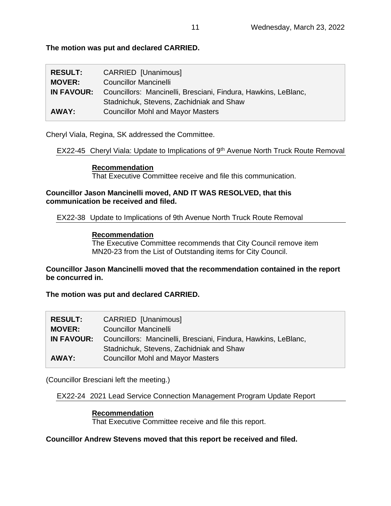**The motion was put and declared CARRIED.**

| <b>RESULT:</b> | CARRIED [Unanimous]                                            |
|----------------|----------------------------------------------------------------|
| <b>MOVER:</b>  | <b>Councillor Mancinelli</b>                                   |
| IN FAVOUR:     | Councillors: Mancinelli, Bresciani, Findura, Hawkins, LeBlanc, |
|                | Stadnichuk, Stevens, Zachidniak and Shaw                       |
| AWAY:          | <b>Councillor Mohl and Mayor Masters</b>                       |

Cheryl Viala, Regina, SK addressed the Committee.

EX22-45 Cheryl Viala: Update to Implications of 9<sup>th</sup> Avenue North Truck Route Removal

### **Recommendation**

That Executive Committee receive and file this communication.

### **Councillor Jason Mancinelli moved, AND IT WAS RESOLVED, that this communication be received and filed.**

EX22-38 Update to Implications of 9th Avenue North Truck Route Removal

### **Recommendation**

The Executive Committee recommends that City Council remove item MN20-23 from the List of Outstanding items for City Council.

**Councillor Jason Mancinelli moved that the recommendation contained in the report be concurred in.**

**The motion was put and declared CARRIED.**

| <b>CARRIED</b> [Unanimous]                                     |
|----------------------------------------------------------------|
| <b>Councillor Mancinelli</b>                                   |
| Councillors: Mancinelli, Bresciani, Findura, Hawkins, LeBlanc, |
| Stadnichuk, Stevens, Zachidniak and Shaw                       |
| <b>Councillor Mohl and Mayor Masters</b>                       |
|                                                                |

(Councillor Bresciani left the meeting.)

EX22-24 2021 Lead Service Connection Management Program Update Report

# **Recommendation** That Executive Committee receive and file this report.

**Councillor Andrew Stevens moved that this report be received and filed.**